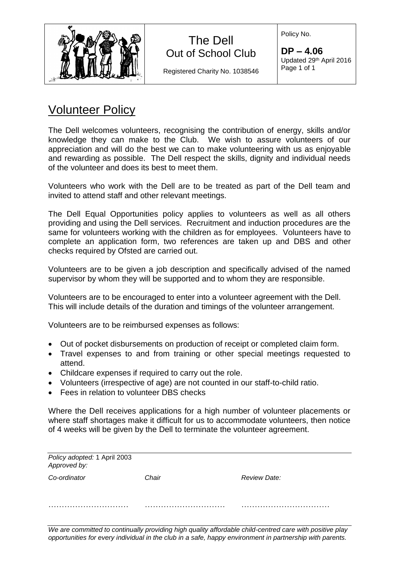

## The Dell Out of School Club

Registered Charity No. 1038546

Policy No.

**DP – 4.06** Updated 29th April 2016 Page 1 of 1

## Volunteer Policy

The Dell welcomes volunteers, recognising the contribution of energy, skills and/or knowledge they can make to the Club. We wish to assure volunteers of our appreciation and will do the best we can to make volunteering with us as enjoyable and rewarding as possible. The Dell respect the skills, dignity and individual needs of the volunteer and does its best to meet them.

Volunteers who work with the Dell are to be treated as part of the Dell team and invited to attend staff and other relevant meetings.

The Dell Equal Opportunities policy applies to volunteers as well as all others providing and using the Dell services. Recruitment and induction procedures are the same for volunteers working with the children as for employees. Volunteers have to complete an application form, two references are taken up and DBS and other checks required by Ofsted are carried out.

Volunteers are to be given a job description and specifically advised of the named supervisor by whom they will be supported and to whom they are responsible.

Volunteers are to be encouraged to enter into a volunteer agreement with the Dell. This will include details of the duration and timings of the volunteer arrangement.

Volunteers are to be reimbursed expenses as follows:

- Out of pocket disbursements on production of receipt or completed claim form.
- Travel expenses to and from training or other special meetings requested to attend.
- Childcare expenses if required to carry out the role.
- Volunteers (irrespective of age) are not counted in our staff-to-child ratio.
- Fees in relation to volunteer DBS checks

Where the Dell receives applications for a high number of volunteer placements or where staff shortages make it difficult for us to accommodate volunteers, then notice of 4 weeks will be given by the Dell to terminate the volunteer agreement.

| Policy adopted: 1 April 2003<br>Approved by: |       |              |
|----------------------------------------------|-------|--------------|
| Co-ordinator                                 | Chair | Review Date: |
|                                              |       |              |

*We are committed to continually providing high quality affordable child-centred care with positive play opportunities for every individual in the club in a safe, happy environment in partnership with parents.*